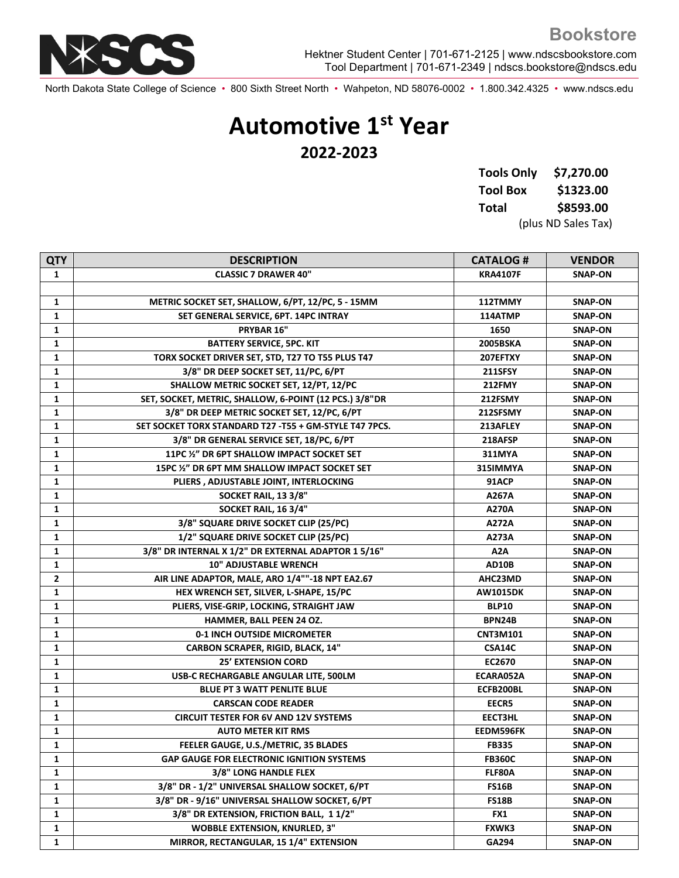

North Dakota State College of Science • 800 Sixth Street North • Wahpeton, ND 58076-0002 • 1.800.342.4325 • www.ndscs.edu

## **Automotive 1st Year 2022-2023**

| <b>Tools Only</b> | \$7,270.00          |  |
|-------------------|---------------------|--|
| <b>Tool Box</b>   | \$1323.00           |  |
| Total             | \$8593.00           |  |
|                   | (plus ND Sales Tax) |  |

| <b>QTY</b>   | <b>DESCRIPTION</b>                                      | <b>CATALOG#</b>  | <b>VENDOR</b>  |
|--------------|---------------------------------------------------------|------------------|----------------|
| 1            | <b>CLASSIC 7 DRAWER 40"</b>                             | <b>KRA4107F</b>  | <b>SNAP-ON</b> |
|              |                                                         |                  |                |
| 1            | METRIC SOCKET SET, SHALLOW, 6/PT, 12/PC, 5 - 15MM       | 112TMMY          | <b>SNAP-ON</b> |
| 1            | SET GENERAL SERVICE, 6PT. 14PC INTRAY                   | 114ATMP          | <b>SNAP-ON</b> |
| $\mathbf{1}$ | PRYBAR 16"                                              | 1650             | <b>SNAP-ON</b> |
| $\mathbf{1}$ | <b>BATTERY SERVICE, 5PC. KIT</b>                        | <b>2005BSKA</b>  | <b>SNAP-ON</b> |
| 1            | TORX SOCKET DRIVER SET, STD, T27 TO T55 PLUS T47        | 207EFTXY         | SNAP-ON        |
| $\mathbf{1}$ | 3/8" DR DEEP SOCKET SET, 11/PC, 6/PT                    | <b>211SFSY</b>   | <b>SNAP-ON</b> |
| $\mathbf{1}$ | SHALLOW METRIC SOCKET SET, 12/PT, 12/PC                 | <b>212FMY</b>    | <b>SNAP-ON</b> |
| $\mathbf{1}$ | SET, SOCKET, METRIC, SHALLOW, 6-POINT (12 PCS.) 3/8"DR  | 212FSMY          | <b>SNAP-ON</b> |
| $\mathbf{1}$ | 3/8" DR DEEP METRIC SOCKET SET, 12/PC, 6/PT             | 212SFSMY         | <b>SNAP-ON</b> |
| $\mathbf{1}$ | SET SOCKET TORX STANDARD T27 - T55 + GM-STYLE T47 7PCS. | 213AFLEY         | <b>SNAP-ON</b> |
| $\mathbf{1}$ | 3/8" DR GENERAL SERVICE SET, 18/PC, 6/PT                | 218AFSP          | <b>SNAP-ON</b> |
| $\mathbf{1}$ | 11PC 1/2" DR 6PT SHALLOW IMPACT SOCKET SET              | 311MYA           | SNAP-ON        |
| $\mathbf{1}$ | 15PC %" DR 6PT MM SHALLOW IMPACT SOCKET SET             | 315IMMYA         | <b>SNAP-ON</b> |
| $\mathbf{1}$ | PLIERS, ADJUSTABLE JOINT, INTERLOCKING                  | 91ACP            | <b>SNAP-ON</b> |
| $\mathbf{1}$ | SOCKET RAIL, 13 3/8"                                    | A267A            | <b>SNAP-ON</b> |
| $\mathbf{1}$ | SOCKET RAIL, 16 3/4"                                    | A270A            | <b>SNAP-ON</b> |
| $\mathbf{1}$ | 3/8" SQUARE DRIVE SOCKET CLIP (25/PC)                   | A272A            | <b>SNAP-ON</b> |
| $\mathbf{1}$ | 1/2" SQUARE DRIVE SOCKET CLIP (25/PC)                   | A273A            | SNAP-ON        |
| $\mathbf{1}$ | 3/8" DR INTERNAL X 1/2" DR EXTERNAL ADAPTOR 1 5/16"     | A <sub>2</sub> A | <b>SNAP-ON</b> |
| $\mathbf{1}$ | <b>10" ADJUSTABLE WRENCH</b>                            | AD10B            | <b>SNAP-ON</b> |
| $\mathbf{2}$ | AIR LINE ADAPTOR, MALE, ARO 1/4""-18 NPT EA2.67         | AHC23MD          | <b>SNAP-ON</b> |
| $\mathbf{1}$ | HEX WRENCH SET, SILVER, L-SHAPE, 15/PC                  | <b>AW1015DK</b>  | SNAP-ON        |
| $\mathbf{1}$ | PLIERS, VISE-GRIP, LOCKING, STRAIGHT JAW                | <b>BLP10</b>     | <b>SNAP-ON</b> |
| 1            | HAMMER, BALL PEEN 24 OZ.                                | BPN24B           | SNAP-ON        |
| $\mathbf{1}$ | 0-1 INCH OUTSIDE MICROMETER                             | <b>CNT3M101</b>  | <b>SNAP-ON</b> |
| $\mathbf{1}$ | CARBON SCRAPER, RIGID, BLACK, 14"                       | CSA14C           | <b>SNAP-ON</b> |
| 1            | <b>25' EXTENSION CORD</b>                               | EC2670           | <b>SNAP-ON</b> |
| $\mathbf{1}$ | USB-C RECHARGABLE ANGULAR LITE, 500LM                   | ECARA052A        | <b>SNAP-ON</b> |
| $\mathbf{1}$ | <b>BLUE PT 3 WATT PENLITE BLUE</b>                      | ECFB200BL        | <b>SNAP-ON</b> |
| 1            | <b>CARSCAN CODE READER</b>                              | <b>EECR5</b>     | SNAP-ON        |
| $\mathbf{1}$ | <b>CIRCUIT TESTER FOR 6V AND 12V SYSTEMS</b>            | EECT3HL          | SNAP-ON        |
| $\mathbf{1}$ | <b>AUTO METER KIT RMS</b>                               | EEDM596FK        | <b>SNAP-ON</b> |
| $\mathbf{1}$ | FEELER GAUGE, U.S./METRIC, 35 BLADES                    | <b>FB335</b>     | <b>SNAP-ON</b> |
| 1            | <b>GAP GAUGE FOR ELECTRONIC IGNITION SYSTEMS</b>        | <b>FB360C</b>    | <b>SNAP-ON</b> |
| $\mathbf{1}$ | 3/8" LONG HANDLE FLEX                                   | FLF80A           | <b>SNAP-ON</b> |
| 1            | 3/8" DR - 1/2" UNIVERSAL SHALLOW SOCKET, 6/PT           | <b>FS16B</b>     | <b>SNAP-ON</b> |
| 1            | 3/8" DR - 9/16" UNIVERSAL SHALLOW SOCKET, 6/PT          | <b>FS18B</b>     | <b>SNAP-ON</b> |
| $\mathbf{1}$ | 3/8" DR EXTENSION, FRICTION BALL, 1 1/2"                | FX1              | <b>SNAP-ON</b> |
| 1            | <b>WOBBLE EXTENSION, KNURLED, 3"</b>                    | FXWK3            | <b>SNAP-ON</b> |
| 1            | MIRROR, RECTANGULAR, 15 1/4" EXTENSION                  | GA294            | <b>SNAP-ON</b> |